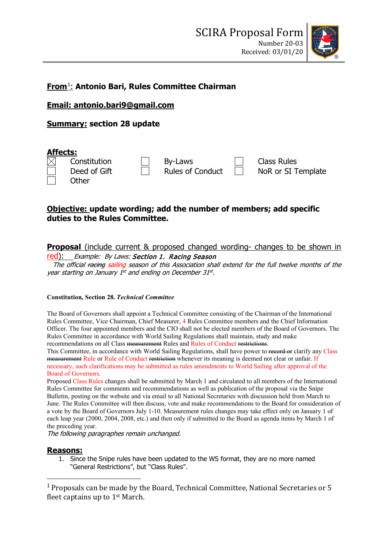

# **From**[1](#page-0-0): **Antonio Bari, Rules Committee Chairman**

**Email: antonio.bari9@gmail.com**

**Summary: section 28 update**

| <b>Affects:</b> |              |  |                         |  |                    |
|-----------------|--------------|--|-------------------------|--|--------------------|
| $\boxtimes$     | Constitution |  | By-Laws                 |  | Class Rules        |
|                 | Deed of Gift |  | <b>Rules of Conduct</b> |  | NoR or SI Template |
|                 | Other        |  |                         |  |                    |

# **Objective: update wording; add the number of members; add specific duties to the Rules Committee.**

## **Proposal** (include current & proposed changed wording- changes to be shown in

red): Example: By Laws: Section 1. Racing Season

The official racing sailing season of this Association shall extend for the full twelve months of the year starting on January 1st and ending on December 31st.

#### **Constitution, Section 28.** *Technical Committee*

The Board of Governors shall appoint a Technical Committee consisting of the Chairman of the International Rules Committee, Vice Chairman, Chief Measurer, 4 Rules Committee members and the Chief Information Officer. The four appointed members and the CIO shall not be elected members of the Board of Governors. The Rules Committee in accordance with World Sailing Regulations shall maintain, study and make recommendations on all Class measurement Rules and Rules of Conduct restrictions.

This Committee, in accordance with World Sailing Regulations, shall have power to record or clarify any Class measurement Rule or Rule of Conduct restriction whenever its meaning is deemed not clear or unfair. If necessary, such clarifications may be submitted as rules amendments to World Sailing after approval of the Board of Governors.

Proposed Class Rules changes shall be submitted by March 1 and circulated to all members of the International Rules Committee for comments and recommendations as well as publication of the proposal via the Snipe Bulletin, posting on the website and via email to all National Secretaries with discussion held from March to June. The Rules Committee will then discuss, vote and make recommendations to the Board for consideration of a vote by the Board of Governors July 1-10. Measurement rules changes may take effect only on January 1 of each leap year (2000, 2004, 2008, etc.) and then only if submitted to the Board as agenda items by March 1 of the preceding year.

The following paragraphes remain unchanged.

### **Reasons:**

1. Since the Snipe rules have been updated to the WS format, they are no more named "General Restrictions", but "Class Rules".

<span id="page-0-0"></span><sup>1</sup> Proposals can be made by the Board, Technical Committee, National Secretaries or 5 fleet captains up to 1st March.